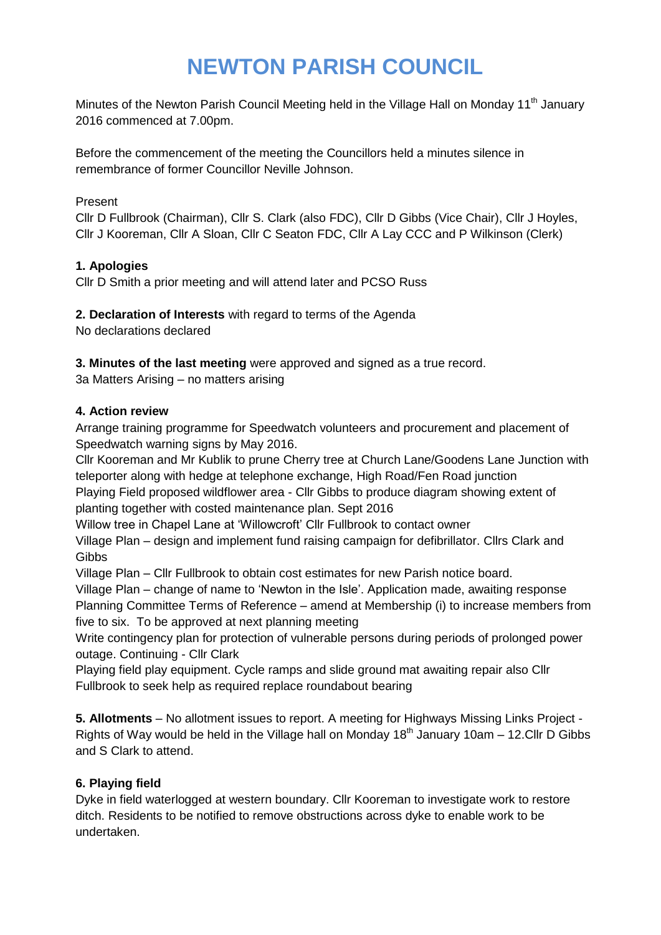# **NEWTON PARISH COUNCIL**

Minutes of the Newton Parish Council Meeting held in the Village Hall on Monday 11<sup>th</sup> January 2016 commenced at 7.00pm.

Before the commencement of the meeting the Councillors held a minutes silence in remembrance of former Councillor Neville Johnson.

#### Present

Cllr D Fullbrook (Chairman), Cllr S. Clark (also FDC), Cllr D Gibbs (Vice Chair), Cllr J Hoyles, Cllr J Kooreman, Cllr A Sloan, Cllr C Seaton FDC, Cllr A Lay CCC and P Wilkinson (Clerk)

## **1. Apologies**

Cllr D Smith a prior meeting and will attend later and PCSO Russ

**2. Declaration of Interests** with regard to terms of the Agenda

No declarations declared

**3. Minutes of the last meeting** were approved and signed as a true record.

3a Matters Arising – no matters arising

#### **4. Action review**

Arrange training programme for Speedwatch volunteers and procurement and placement of Speedwatch warning signs by May 2016.

Cllr Kooreman and Mr Kublik to prune Cherry tree at Church Lane/Goodens Lane Junction with teleporter along with hedge at telephone exchange, High Road/Fen Road junction

Playing Field proposed wildflower area - Cllr Gibbs to produce diagram showing extent of planting together with costed maintenance plan. Sept 2016

Willow tree in Chapel Lane at 'Willowcroft' Cllr Fullbrook to contact owner

Village Plan – design and implement fund raising campaign for defibrillator. Cllrs Clark and **Gibbs** 

Village Plan – Cllr Fullbrook to obtain cost estimates for new Parish notice board.

Village Plan – change of name to 'Newton in the Isle'. Application made, awaiting response Planning Committee Terms of Reference – amend at Membership (i) to increase members from five to six. To be approved at next planning meeting

Write contingency plan for protection of vulnerable persons during periods of prolonged power outage. Continuing - Cllr Clark

Playing field play equipment. Cycle ramps and slide ground mat awaiting repair also Cllr Fullbrook to seek help as required replace roundabout bearing

**5. Allotments** – No allotment issues to report. A meeting for Highways Missing Links Project - Rights of Way would be held in the Village hall on Monday  $18<sup>th</sup>$  January 10am – 12. Cllr D Gibbs and S Clark to attend.

## **6. Playing field**

Dyke in field waterlogged at western boundary. Cllr Kooreman to investigate work to restore ditch. Residents to be notified to remove obstructions across dyke to enable work to be undertaken.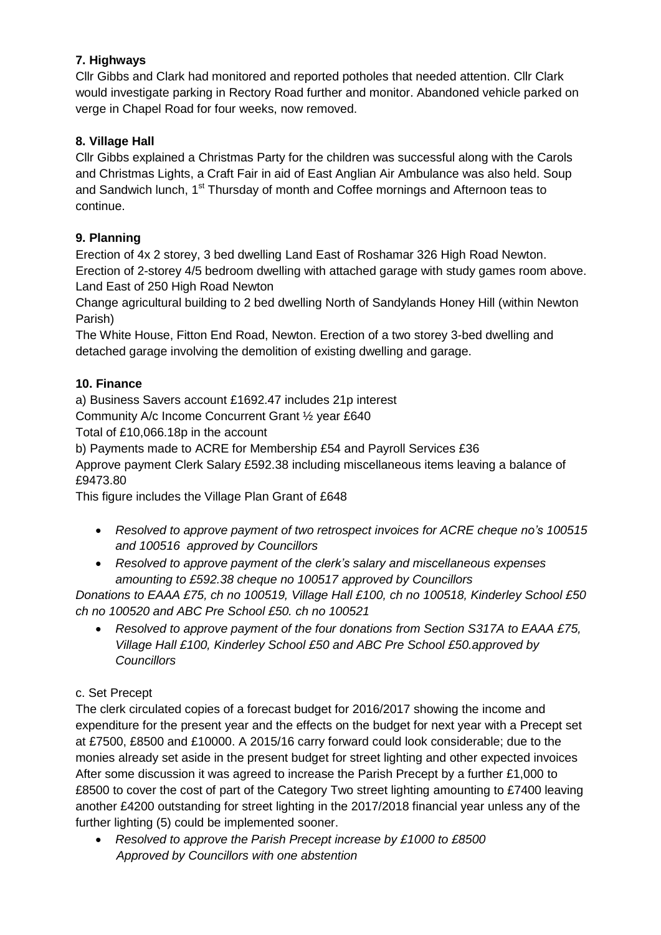# **7. Highways**

Cllr Gibbs and Clark had monitored and reported potholes that needed attention. Cllr Clark would investigate parking in Rectory Road further and monitor. Abandoned vehicle parked on verge in Chapel Road for four weeks, now removed.

# **8. Village Hall**

Cllr Gibbs explained a Christmas Party for the children was successful along with the Carols and Christmas Lights, a Craft Fair in aid of East Anglian Air Ambulance was also held. Soup and Sandwich lunch, 1<sup>st</sup> Thursday of month and Coffee mornings and Afternoon teas to continue.

# **9. Planning**

Erection of 4x 2 storey, 3 bed dwelling Land East of Roshamar 326 High Road Newton. Erection of 2-storey 4/5 bedroom dwelling with attached garage with study games room above. Land East of 250 High Road Newton

Change agricultural building to 2 bed dwelling North of Sandylands Honey Hill (within Newton Parish)

The White House, Fitton End Road, Newton. Erection of a two storey 3-bed dwelling and detached garage involving the demolition of existing dwelling and garage.

# **10. Finance**

a) Business Savers account £1692.47 includes 21p interest

Community A/c Income Concurrent Grant ½ year £640

Total of £10,066.18p in the account

b) Payments made to ACRE for Membership £54 and Payroll Services £36

Approve payment Clerk Salary £592.38 including miscellaneous items leaving a balance of £9473.80

This figure includes the Village Plan Grant of £648

- *Resolved to approve payment of two retrospect invoices for ACRE cheque no's 100515 and 100516 approved by Councillors*
- *Resolved to approve payment of the clerk's salary and miscellaneous expenses amounting to £592.38 cheque no 100517 approved by Councillors*

*Donations to EAAA £75, ch no 100519, Village Hall £100, ch no 100518, Kinderley School £50 ch no 100520 and ABC Pre School £50. ch no 100521*

 *Resolved to approve payment of the four donations from Section S317A to EAAA £75, Village Hall £100, Kinderley School £50 and ABC Pre School £50.approved by Councillors*

## c. Set Precept

The clerk circulated copies of a forecast budget for 2016/2017 showing the income and expenditure for the present year and the effects on the budget for next year with a Precept set at £7500, £8500 and £10000. A 2015/16 carry forward could look considerable; due to the monies already set aside in the present budget for street lighting and other expected invoices After some discussion it was agreed to increase the Parish Precept by a further £1,000 to £8500 to cover the cost of part of the Category Two street lighting amounting to £7400 leaving another £4200 outstanding for street lighting in the 2017/2018 financial year unless any of the further lighting (5) could be implemented sooner.

 *Resolved to approve the Parish Precept increase by £1000 to £8500 Approved by Councillors with one abstention*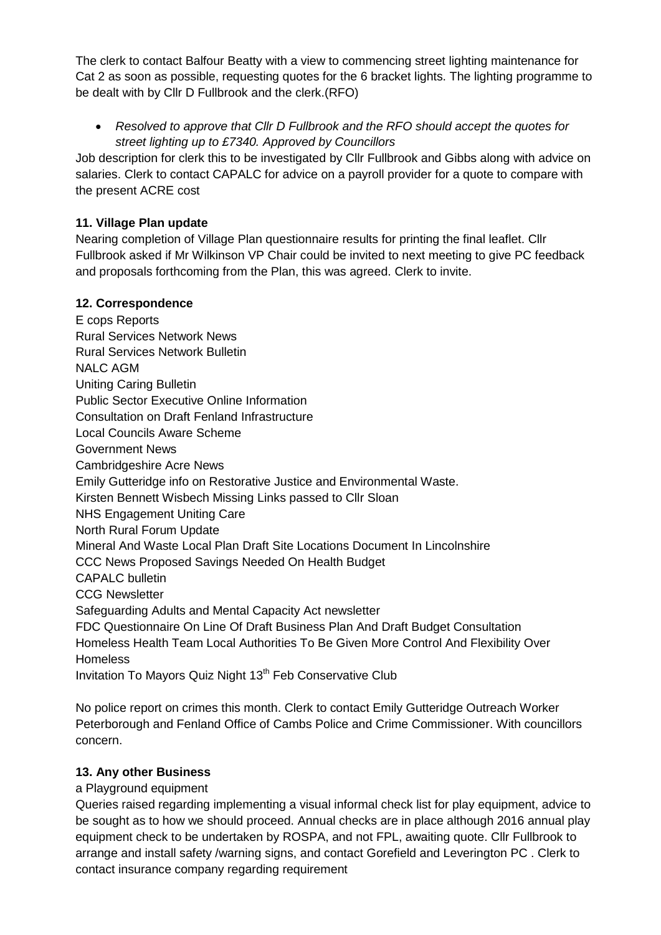The clerk to contact Balfour Beatty with a view to commencing street lighting maintenance for Cat 2 as soon as possible, requesting quotes for the 6 bracket lights. The lighting programme to be dealt with by Cllr D Fullbrook and the clerk.(RFO)

 *Resolved to approve that Cllr D Fullbrook and the RFO should accept the quotes for street lighting up to £7340. Approved by Councillors*

Job description for clerk this to be investigated by Cllr Fullbrook and Gibbs along with advice on salaries. Clerk to contact CAPALC for advice on a payroll provider for a quote to compare with the present ACRE cost

# **11. Village Plan update**

Nearing completion of Village Plan questionnaire results for printing the final leaflet. Cllr Fullbrook asked if Mr Wilkinson VP Chair could be invited to next meeting to give PC feedback and proposals forthcoming from the Plan, this was agreed. Clerk to invite.

## **12. Correspondence**

E cops Reports Rural Services Network News Rural Services Network Bulletin NALC AGM Uniting Caring Bulletin Public Sector Executive Online Information Consultation on Draft Fenland Infrastructure Local Councils Aware Scheme Government News Cambridgeshire Acre News Emily Gutteridge info on Restorative Justice and Environmental Waste. Kirsten Bennett Wisbech Missing Links passed to Cllr Sloan NHS Engagement Uniting Care North Rural Forum Update Mineral And Waste Local Plan Draft Site Locations Document In Lincolnshire CCC News Proposed Savings Needed On Health Budget CAPALC bulletin CCG Newsletter Safeguarding Adults and Mental Capacity Act newsletter FDC Questionnaire On Line Of Draft Business Plan And Draft Budget Consultation Homeless Health Team Local Authorities To Be Given More Control And Flexibility Over **Homeless** Invitation To Mayors Quiz Night 13<sup>th</sup> Feb Conservative Club

No police report on crimes this month. Clerk to contact Emily Gutteridge Outreach Worker Peterborough and Fenland Office of Cambs Police and Crime Commissioner. With councillors concern.

## **13. Any other Business**

a Playground equipment

Queries raised regarding implementing a visual informal check list for play equipment, advice to be sought as to how we should proceed. Annual checks are in place although 2016 annual play equipment check to be undertaken by ROSPA, and not FPL, awaiting quote. Cllr Fullbrook to arrange and install safety /warning signs, and contact Gorefield and Leverington PC . Clerk to contact insurance company regarding requirement